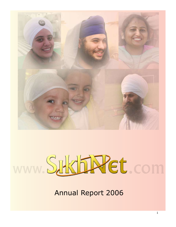

# www. Sukhin Ret. com

Annual Report 2006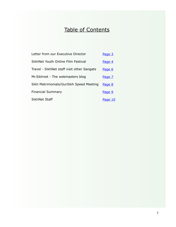# Table of Contents

| Letter from our Executive Director         | Page 3  |
|--------------------------------------------|---------|
| SikhNet Youth Online Film Festival         | Page 4  |
| Travel - SikhNet staff visit other Sangats | Page 6  |
| Mr. Sikhnet - The webmasters blog          | Page 7  |
| Sikh Matrimonials/GurSikh Speed Meeting    | Page 8  |
| <b>Financial Summary</b>                   | Page 9  |
| SikhNet Staff                              | Page 10 |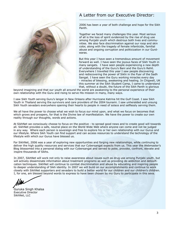

# A Letter from our Executive Director:

\_\_\_\_\_\_\_\_\_\_\_\_\_\_\_\_\_\_\_\_\_\_\_\_\_\_\_\_

2006 has been a year of both challenge and hope for the Sikh Panth.

Together we faced many challenges this year. Most serious of all is the loss of spirit evidenced by the rise of drug use among Punjabi youth which destroys both lives and communities. We also face discrimination against our roop and skin color, along with the tragedy of female infanticide, familial abuse and ongoing corruption and politicization in our Gurdwaras.

But this year I have seen a tremendous amount of movement forward as well. I have seen the joyous faces of Sikh Youth in many sangats. I have seen people experiencing a new depth of understanding of the Guru's Bani and the Guru's Rehit. Everywhere I travelled this year I saw people discovering and rediscovering the power of Sikhi in the Pyar of the Sadh Sangat. I have seen the Guru working miracles every day - miracles of blessing, awakening and healing. In Chigwell, UK this summer at the Sikh Student Camp, I came to understand that, without a doubt, the future of the Sikh Panth is glorious

beyond imagining and that our youth all around the world are awakening to the personal experience of their own relationship with the Guru and rising to serve His mission in many, many ways.

I saw Sikh Youth serving Guru's langar in New Orleans after Hurricane Katrina hit the Gulf Coast. I saw Sikh Youth in Thailand serving the survivors and care providers of the 2004 tsunami. I saw unheralded and unsung Sikh Youth sevadars everywhere opening their hearts to people in need of solace and selflessly serving them.

We all have the power to choose what we wish to focus our mind upon, and what we focus on becomes that which grows and prospers, for that is the Divine law of manifestation. We have the power to create our own reality through our thoughts, words and actions.

At SikhNet we consciously choose to focus on the positive - to spread good news and to create good will towards all. SikhNet provides a safe, neutral place on the World Wide Web where anyone can come and not be judged in any way. Where each person is sovereign and free to explore his or her own relationship with our Gurus and our lifestyle. Where Sikh Youth can find support and can access resources to understand the technology of the lifestyle with which our Gurus have blessed us.

For SikhNet, 2006 was a year of exploring new opportunities and forging new relationships, while continuing to deliver the high quality resources and services that our Cybersangat expects from us. This year the Webmaster's Blog blossomed into a personal dialog with our Cybersangat and served to poke, provoke, confront, elevate and inspire thousands of Sikhs.

In 2007, SikhNet will work not only to raise awareness about issues such as drug use among Punjabi youth, but will actively disseminate information about treatment programs as well as providing de-addiction and detoxification techniques. SikhNet will continue to combat discrimination and abuse by educating and inspiring people to deeper understanding of Sikh identity. In 2007 we will build on our accomplishments and continue to work closely with SikhNet supporters and sevadars to build a better world for our children and our children's children. I, for one, am blessed beyond words to express to have been chosen by my Guru to participate in this seva.

Guruka Singh Khalsa Executive Director SikhNet, LLC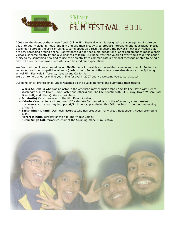

2006 saw the debut of the all new Youth Online Film Festival which is designed to encourage and inspire our youth to get involved in media and film and use their creativity to produce interesting and educational pieces designed to spread the spirit of Sikhi. It came about as a result of seeing the power of low-tech videos that are now spreading around online. Contestants did not need a big budget or a lot of equipment to make a short video; just some creativity and a willingness to learn. Our hope was that youth all over would take this opportunity to try something new and to use their creativity to communicate a personal message related to being a Sikh. The competition was successful even beyond our expectations.

We featured the video submissions on SikhNet for all to watch as the entries came in and then in September we announced the competition winners (cash prizes). Some of the videos were also shown at the Spinning Wheel Film Festivals in Toronto, Canada and California.

We plan to hold another online youth film festival in 2007 and we welcome you to participate!

Our panel of six professional judges watched all the qualifying films and submitted their results.

- **Waris Ahluwalia** who was an actor in the American movie: Inside Man (A Spike Lee Movie with Denzel Washington, Clive Owen, Jodie Foster and others) and The Life Aquatic with Bill Murray, Owen Wilson, Kate Blanchett, and others). We also will have
- **Ish Amitoj Kaur,** producer of the film Kambdi Kalaai.
- **Valarie Kaur**, writer and producer of Divided We Fall: Americans in the Aftermath, a feature-length documentary on a journey into post-9/11 America, premiering this fall. Her blog chronicles the making of the film.
- **Sartaj Singh Dhami** (Dasmesh Pictures) who has produced many great independent videos promoting Sikhi.
- **Harpreet Kaur**, Director of the film The Widow Colony.
- **Kulvir Singh Gill**, former co-chair of the Spinning Wheel Film Festival.

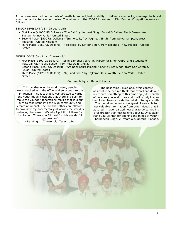Prizes were awarded on the basis of creativity and originality, ability to deliver a compelling message, technical execution and entertainment value. The winners of the 2006 SikhNet Youth Film Festival Competition were as follows:

SENIOR DIVISION (18 – 25 years old)

- First Place (\$1000 US Dollars) "The Call" by Jasmeet Singh Bansal & Baljeet Singh Bansal, from Easton, Pennsylvania - United States
- Second Place (\$500 US Dollars) "Immortality" by Jagmeet Singh, from Wolverhampton, West Midlands - United Kingdom
- Third Place (\$250 US Dollars) "Priceless" by Sat Bir Singh, from Espanola, New Mexico United **States**

### JUNIOR DIVISION (11 – 17 years old)

- First Place (\$500 US Dollars) "Sikhi Sambhal Veera" by Harsimrat Singh Gujral and Students of Mata Jai Kaur Public School, from New Delhi, India.
- Second Place (\$250 US Dollars) "Arpinder Kaur: Piloting A Life" by Raj Singh, from San Antonio, Texas - United States
- Third Place (\$125 US Dollars) "Teji and Sikhi" by Tejkaran Kaur, Westbury, New York United **States**

#### Comments by youth participants:

"I know that even beyond myself, people were touched with the effort and seva put into this film festival. The fact that it was directed towards the youth made it evident that there is a push to make the younger generations realize that it is our turn to take steps into the Sikh community and create an impact. The fact that others are allowed

to now view my documentary all across the world is relieving, because that's why I put it out there for inspiration. Thank you SikhNet for this wonderful opportunity"

- Raj Singh, 17 years old, Texas, USA.

"The best thing I liked about this contest was that it helped me think that even I can do and contribute something to this amazing (Sikh) panth of ours. As you said it has and it will surely inspire the hidden talents inside the mind of today's youth.

The overall experience was great. I was able to get valuable information from other videos that I watched. I have realized now that to do something is far greater than just talking about it. Once again thank you Sikhnet for opening the minds of youth." - Karandeep Singh, 20 years old, Ontario, Canada.

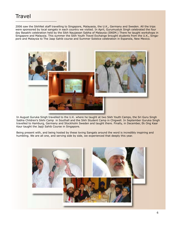# **Travel**

\_\_\_\_\_\_\_\_\_\_\_\_\_\_\_\_\_\_\_\_\_\_\_\_\_

2006 saw the SikhNet staff travelling to Singapore, Malayasia, the U.K., Germany and Sweden. All the trips were sponsored by local sangats in each country we visited. In April, Gurumustuk Singh celebrated the four day Basakhi celebration held by the Sikh Naujawan Sabha of Malaysia (SNSM.) There he taught workshops in Singapore and Malaysia. This summer the Sikh Youth Travel Exchange brought students from the U.K., Singapore and Malaysia to The Jaap Sahib course and Summer Solstice celebration in Espanola, New Mexico.



In August Guruka Singh travelled to the U.K. where he taught at two Sikh Youth Camps, the Sri Guru Singh Sabha Children's Sikhi Camp in Southall and the Sikh Student Camp in Chigwell. In September Guruka Singh travelled to Hamburg, Germany and Stockholm Sweden and taught there. Finally, in December, Ek Ong Kaar Kaur taught the Japji Sahib Course in Singapore.

Being present with, and being hosted by these loving Sangats around the word is incredibly inspiring and humbling. We are all one, and serving side by side, we experienced that deeply this year.

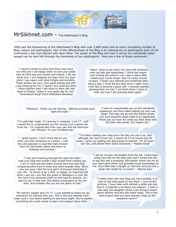

# MrSikhnet.com - The Webmaster's Blog

 $\_$  , and the set of the set of the set of the set of the set of the set of the set of the set of the set of the set of the set of the set of the set of the set of the set of the set of the set of the set of the set of th

2006 saw the blossoming of the Webmaster's Blog with over 2,600 posts and an every increasing number of Blog visitors and participants. Part of the effectiveness of the Blog is its interactivity as participants post 10-20 comments a day and interact with each other. The power of the Blog and how it serves our worldwide cybersangat can be best felt through the comments of our participants. Here are a few of those comments:

"I haven't words to write that show how much my wife and I are happy when we saw your great face of Sikhi and your family and friends. I do not know how I am stopping my tears from my eyes when I saw again such pure Singhs and Gursikhs. These photos are very, very great photos and with a big meaning for me. I haven't any child but when I have children then I will show to them the real faces of Khalsa. Today is very great day for me." -Tarwinderjit Singh (from Bratislava Slovakia)

"Veerji i have to say wow! You have left someone who can talk alot speechless. I think the reason I am writing this email is cuz i was in tears after i heard your mums kirtan. And i'm rarely moved to tears. I check your sikhnet and mrsikhnet sites twice a day. I must tell you that more I read, more I feel like to become a good sikh. I recently started growing back my hair. I cut them when I came to USA. but now I am growing them again."

"Fabulous! Thank you for sharing. Sikhnet provides such light and hope."

"I'm palvinder singh. I'm leaving in malaysia. I am 17...well I would like to congratulate you for having such a great site. Trust me.. I'm inspired alot from your site and the American sikh lifestyle. It's just mindblowing."

"I want to congratulate you on this wonderful endeavour you have taken setting up your own blog!! This may not go into the history books but such beautiful steps need to be applauded. Thank you so much for what you have done with the Sikh web portal. You inspire me."

"...Quite frankly, I don't think there's any other one that compares to it either. I visit this site specially to read the Daily Hukam from Sri Harminder Sahib and listen to Shabads and Gurbani."

"I've been reading your blog since the day you put it up, and although you don't know me, it seems as if I've known you for years. I grew up reading and discussing on Sikhnet. I'm 19 years old now, and attend Penn State University." -Hareet Singh

"I was just browsing through the web site when i read your blog and couldn't stop myself from mailing you. I am in india and see Sikhs around here and cant help comparing sikhs here in india and sikhs outside india. When i see you guys i feel the true spirit of Guruji's teachings in your life - so proud to be a Sikh, so happy, so inspiring that when i see you i can feel the grace of Waheguru in your life. You have truly achieved what we still hope to achieve. All i want to say is that may God always bring glory to his children, and children like you are the gems of God."

"My name's Jasleen and I'm 17. I just wanted to share my appreciation for Sikhnet with you. This is the only website that I make sure I visit before getting to bed every night. You've posted everything the youth needs to learn and respect about Sikhi..."

"I am an 18 year old student from the UK. I have been using your site for the past year and I would just like to say this site is amazing, like totally! thank you for all your hard work which has provided much knowledge for me. Guru Ram Das Ji taught us "service" and you are a great role model for us youth." - Manvia Kaur

"I really enjoy this new blog you have started, it so nice to see what goes on out there. I love all the pictures. I have been with sikhnet a while and just love it. It teaches a lot about our religion,. I have a nine year old daughter whom I am trying to teach about sikhism and this site really helps. This is the best project that you have started, Keep up the awesome work!!!"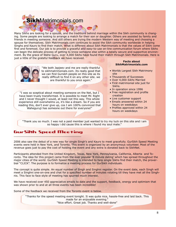# **Sikh**Matrimonials.com

Many Sikhs are looking for a spouse, and the traditions behind marriage within the Sikh community is changing. Some people are looking to arrange a match for their son or daughter. Others are assisted by family and friends in meeting someone. And still others are trying the modern Western way of meeting and choosing a spouse for themselves. Sikh Matrimonials.com continues to assist the Sikh community worldwide in helping Singhs and Kaurs to find their match. What is different about Sikh Matrimonials is that the values of Sikhi come first and foremost. Our job is to provide a graceful and easy-to-use on-line communication forum where Sikhs can begin the delicate process of getting to know someone else within a totally secure and supportive environment. By the grace of Wahe Guru, over 4,000 Sikhs have found their match through Sikh Matrimonials. Here is just a little of the grateful feedback we have received.



"We both Japjeev and me are really thankful to sikhmatrimonials.com. Its really good that we can find Gursikh people on this site as its really difficult to find it on any other site. we are thankful to you once again."

"I was so sceptical about meeting someone on the Net, but I have been truely transformed. It is possible to meet Mr. Right and I never thought I would, at least not this way. This whole experience still overwhelms us, it's like a dream. So if you are reading this, don't ever give up, cos I am 100% convinced that Waheguruji has someone out there for everyone!"

### **Facts about SikhMatrimonials.com**

- Worlds Largest Sikh Matrimony site
- Thousands of Successes
- Over 4,000 *Sikhs* Married
- First matrimonial site just for Sikhs.
- In operation since 1996
- Free registration and profile creation
- Live customer support
- Emails answered within 24 hours on weekdays
- Profiles approved within 24 hours on weekdays

"Thank you so much. I was not a paid member just wanted to try my luck on this site and i am so happy i did cause this is where i found my soul mate."

## GurSikh Speed Meeting  $\Box$  , and the contribution of the contribution of the contribution of the contribution of the contribution of the contribution of the contribution of the contribution of the contribution of the contribution of the contri

2006 also saw the debut of a new way for single Singh's and Kaurs to meet gracefully. GurSikh Speed Meeting events were held in New York, and Toronto. This event is organized by an anonymous volunteer. Most of the revenue goes just to pay the cost of holding the event and any extra is donated back to SikhNet.

Participants attended from the United Kingdom, Texas, New York, Pennsylvania, California, Alberta and Toronto. The idea for this project came from the ever popular '8 minute dating' which has spread throughout the major cities of the world. GurSikh Speed Meeting is intended to help single Sikhs find their match, the proverbial "CLICK". The purpose is to formalize a meeting process for GurSikh individuals.

The concept is quite simple. An equal number of Singh and Singhni register. On the event date, each Singh will meet a Singhni one-on-one and chat for a specified number of minutes rotating till they have met all the Singhnis. This face to face style of meeting has spurred much interest.

We have received over 450 appreciative emails to date and the support, feedback, energy and optimism that was shown prior to and at all three events has been incredible!

Some of the feedback we received from the Toronto event is below.

"Thanks for the speed meeting event tonight. It was quite nice, hassle-free and laid back. This made for an enjoyable evening." "Nice effort. Great job. Thanks and well-done"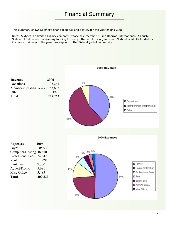# Financial Summary \_\_\_\_\_\_\_\_\_\_\_\_\_\_\_\_\_\_\_\_\_\_\_\_\_\_\_\_\_\_\_\_\_\_\_\_\_\_\_\_\_\_

This summary shows Sikhnet's financial status and activity for the year ending 2006

Note: Sikhnet is a limited liability company, whose sole member is Sikh Dharma International. As such, Sikhnet LLC does not receive any funding from any other entity or organization. Sikhnet is wholly funded by it's own activities and the generous support of the Sikhnet global community.